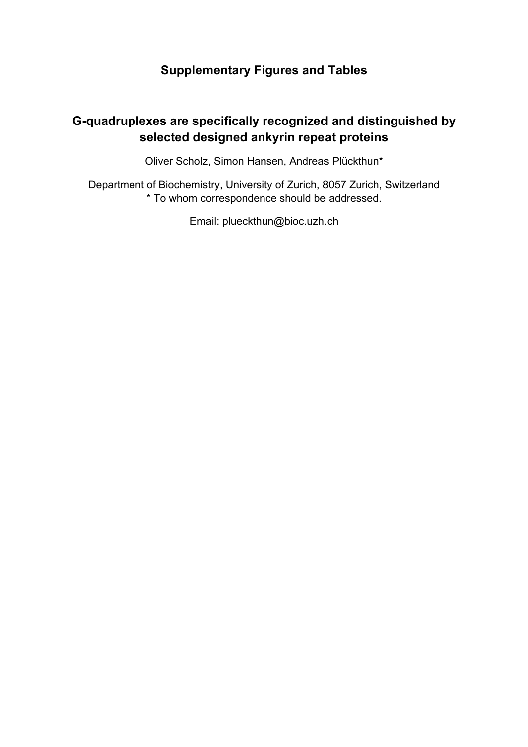## **Supplementary Figures and Tables**

## **G-quadruplexes are specifically recognized and distinguished by selected designed ankyrin repeat proteins**

Oliver Scholz, Simon Hansen, Andreas Plückthun\*

Department of Biochemistry, University of Zurich, 8057 Zurich, Switzerland \* To whom correspondence should be addressed.

Email: plueckthun@bioc.uzh.ch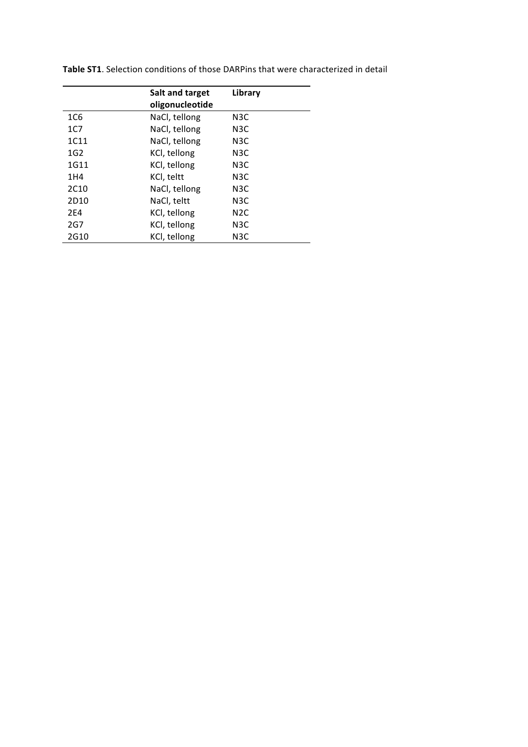|                  | Salt and target | Library          |  |
|------------------|-----------------|------------------|--|
|                  | oligonucleotide |                  |  |
| 1C <sub>6</sub>  | NaCl, tellong   | N <sub>3</sub> C |  |
| 1 <sub>C</sub>   | NaCl, tellong   | N <sub>3</sub> C |  |
| 1C11             | NaCl, tellong   | N <sub>3</sub> C |  |
| 1 <sub>G2</sub>  | KCI, tellong    | N3C              |  |
| 1G11             | KCI, tellong    | N <sub>3</sub> C |  |
| 1 H 4            | KCI, teltt      | N <sub>3</sub> C |  |
| 2C <sub>10</sub> | NaCl, tellong   | N3C              |  |
| 2D <sub>10</sub> | NaCl, teltt     | N <sub>3</sub> C |  |
| 2F4              | KCI, tellong    | N <sub>2</sub> C |  |
| 2G7              | KCI, tellong    | N <sub>3</sub> C |  |
| 2G10             | KCI, tellong    | N <sub>3</sub> C |  |

Table ST1. Selection conditions of those DARPins that were characterized in detail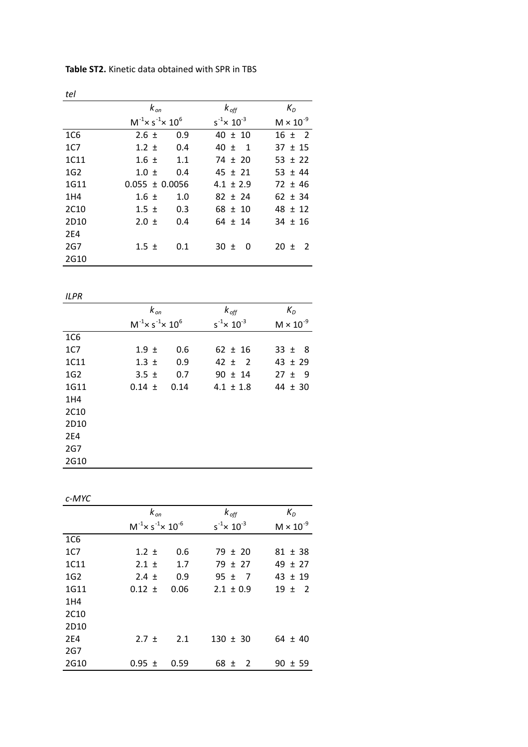| tel              |                                              |                                    |                            |
|------------------|----------------------------------------------|------------------------------------|----------------------------|
|                  | $k_{on}$                                     | $k_{off}$                          | $K_{D}$                    |
|                  | $M^{-1}$ × s <sup>-1</sup> × 10 <sup>6</sup> | $s^{-1}$ $\times$ 10 <sup>-3</sup> | $M \times 10^{-9}$         |
| 1C <sub>6</sub>  | $2.6 \pm$                                    | 0.9<br>$40 \pm 10$                 | $16 \pm 2$                 |
| 1C7              | $1.2 \pm$                                    | $40 \pm 1$<br>0.4                  | $37 \pm 15$                |
| 1C11             | $1.6 \pm$                                    | 1.1<br>$74 \pm 20$                 | $53 \pm 22$                |
| 1G <sub>2</sub>  | $1.0 \pm$                                    | $45 \pm 21$<br>0.4                 | $53 \pm 44$                |
| 1G11             | $0.055 \pm 0.0056$                           | $4.1 \pm 2.9$                      | $72 \pm 46$                |
| 1H4              | $1.6 \pm$                                    | 1.0<br>$82 \pm 24$                 | $62 \pm 34$                |
| 2C <sub>10</sub> | $1.5 \pm$                                    | 0.3<br>$68 \pm 10$                 | $48 \pm 12$                |
| 2D <sub>10</sub> | $2.0 \pm$                                    | 0.4<br>$64 \pm 14$                 | $34 \pm 16$                |
| <b>2E4</b>       |                                              |                                    |                            |
| 2G7              | $1.5 \pm$                                    | 0.1<br>$30 \pm$<br>- 0             | $20 \pm$<br>$\overline{2}$ |
| 2G10             |                                              |                                    |                            |

Table ST2. Kinetic data obtained with SPR in TBS

|                  | $k_{\text{on}}$                              |      | $k_{\text{off}}$                   | $K_D$              |
|------------------|----------------------------------------------|------|------------------------------------|--------------------|
|                  | $M^{-1}$ × s <sup>-1</sup> × 10 <sup>6</sup> |      | $s^{-1}$ $\times$ 10 <sup>-3</sup> | $M \times 10^{-9}$ |
| 1C <sub>6</sub>  |                                              |      |                                    |                    |
| 1 <sub>C</sub>   | $1.9 \pm$                                    | 0.6  | $62 \pm 16$                        | $33 \pm 8$         |
| 1C11             | $1.3 \pm$                                    | 0.9  | $42 \pm 2$                         | $43 \pm 29$        |
| 1 <sub>G2</sub>  | $3.5 \pm$                                    | 0.7  | $90 \pm 14$                        | $27 \pm 9$         |
| 1G11             | $0.14 \pm$                                   | 0.14 | $4.1 \pm 1.8$                      | $44 \pm 30$        |
| 1H4              |                                              |      |                                    |                    |
| 2C <sub>10</sub> |                                              |      |                                    |                    |
| 2D <sub>10</sub> |                                              |      |                                    |                    |
| 2E4              |                                              |      |                                    |                    |
| 2G7              |                                              |      |                                    |                    |
| 2G10             |                                              |      |                                    |                    |

*c)MYC*

|                  | $k_{on}$                                      |      | $k_{off}$                          | $K_D$              |
|------------------|-----------------------------------------------|------|------------------------------------|--------------------|
|                  | $M^{-1}$ × s <sup>-1</sup> × 10 <sup>-6</sup> |      | $s^{-1}$ $\times$ 10 <sup>-3</sup> | $M \times 10^{-9}$ |
| 1C6              |                                               |      |                                    |                    |
| 1C7              | $1.2 \pm$                                     | 0.6  | $79 \pm 20$                        | $81 \pm 38$        |
| 1C11             | $2.1 \pm$                                     | 1.7  | $79 \pm 27$                        | $49 \pm 27$        |
| 1 <sub>G2</sub>  | $2.4 \pm$                                     | 0.9  | $95 \pm 7$                         | $43 \pm 19$        |
| 1G11             | $0.12 \pm$                                    | 0.06 | $2.1 \pm 0.9$                      | $19 \pm 2$         |
| 1H4              |                                               |      |                                    |                    |
| 2C <sub>10</sub> |                                               |      |                                    |                    |
| 2D <sub>10</sub> |                                               |      |                                    |                    |
| 2E4              | $2.7 \pm$                                     | 2.1  | $130 \pm 30$                       | $64 \pm 40$        |
| 2G7              |                                               |      |                                    |                    |
| 2G10             | $0.95 \pm$                                    | 0.59 | $68 \pm$<br>2                      | $90 \pm 59$        |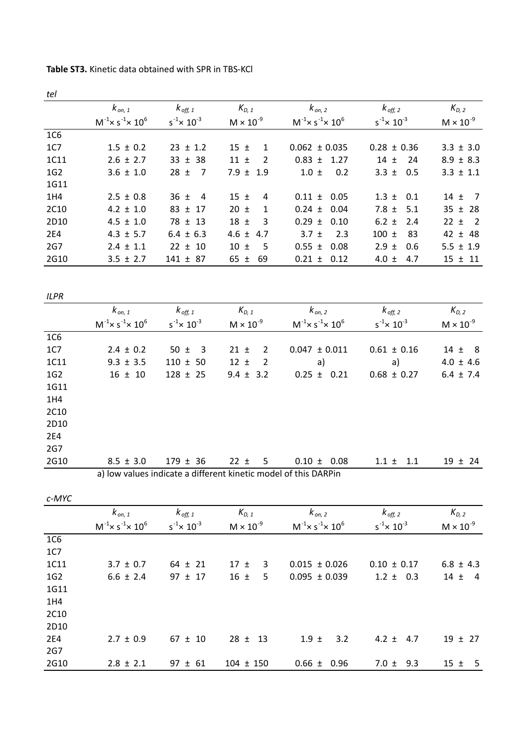| Table ST3. Kinetic data obtained with SPR in TBS-KCl |  |
|------------------------------------------------------|--|
|------------------------------------------------------|--|

*tel*

|                 | $k_{on, 1}$                                  | $k$ <sub>off, 1</sub> | $K_{D, 1}$               | $k_{on, 2}$                                  | $k_{\text{off, 2}}$                | $K_{D,2}$                  |
|-----------------|----------------------------------------------|-----------------------|--------------------------|----------------------------------------------|------------------------------------|----------------------------|
|                 | $M^{-1}$ × s <sup>-1</sup> × 10 <sup>6</sup> | $s^{-1}$ x $10^{-3}$  | $M \times 10^{-9}$       | $M^{-1}$ × s <sup>-1</sup> × 10 <sup>6</sup> | $s^{-1}$ $\times$ 10 <sup>-3</sup> | $M \times 10^{-9}$         |
| 1C6             |                                              |                       |                          |                                              |                                    |                            |
| 1 <sub>C</sub>  | $1.5 \pm 0.2$                                | $23 \pm 1.2$          | $15 \pm$<br>$\mathbf{1}$ | $0.062 \pm 0.035$                            | $0.28 \pm 0.36$                    | $3.3 \pm 3.0$              |
| 1C11            | $2.6 \pm 2.7$                                | $33 \pm 38$           | $11 \pm$<br>2            | $0.83 \pm$<br>1.27                           | $14 \pm$<br>24                     | $8.9 \pm 8.3$              |
| 1 <sub>G2</sub> | $3.6 \pm 1.0$                                | 7<br>$28 \pm$         | 7.9 $\pm$<br>1.9         | $1.0 \pm$<br>0.2                             | 3.3 $\pm$<br>0.5                   | $3.3 \pm 1.1$              |
| 1G11            |                                              |                       |                          |                                              |                                    |                            |
| 1H4             | $2.5 \pm 0.8$                                | $36 \pm 4$            | $15 \pm$<br>4            | $0.11 \pm 0.05$                              | $1.3 \pm$<br>0.1                   | $14 \pm 7$                 |
| 2C10            | $4.2 \pm 1.0$                                | $83 \pm 17$           | $20 \pm$<br>1            | $0.24 \pm 0.04$                              | 7.8 $\pm$<br>5.1                   | $35 \pm 28$                |
| 2D10            | $4.5 \pm 1.0$                                | $78 \pm 13$           | $18 \pm$<br>3            | $0.29 \pm$<br>0.10                           | 6.2 $\pm$<br>2.4                   | $22 \pm$<br>$\overline{2}$ |
| <b>2E4</b>      | $4.3 \pm 5.7$                                | $6.4 \pm 6.3$         | 4.6 $\pm$<br>4.7         | 2.3<br>$3.7 \pm$                             | $100 \pm$<br>83                    | $42 \pm 48$                |
| 2G7             | $2.4 \pm 1.1$                                | $22 \pm 10$           | $10 \pm$<br>.5           | $0.55 \pm$<br>0.08                           | $2.9 \pm$<br>0.6                   | $5.5 \pm 1.9$              |
| 2G10            | $3.5 \pm 2.7$                                | $141 \pm 87$          | 65 $\pm$<br>69           | $0.21 \pm$<br>0.12                           | 4.0 $\pm$<br>4.7                   | $15 \pm 11$                |
|                 |                                              |                       |                          |                                              |                                    |                            |
| <b>ILPR</b>     |                                              |                       |                          |                                              |                                    |                            |
|                 | $k_{on,1}$                                   | $k$ off, 1            | $K_{D, 1}$               | $k_{on, 2}$                                  | $k$ <sub>off, 2</sub>              | $K_{D,2}$                  |

|                 | . on. 1                                      | $\cdot \cdot$ on, 1         | $\cdot v_{D-1}$            | ' on ∠                                                          | ' OII. Z                           | $\cdot \cdot v$ . 2 |
|-----------------|----------------------------------------------|-----------------------------|----------------------------|-----------------------------------------------------------------|------------------------------------|---------------------|
|                 | $M^{-1}$ × s <sup>-1</sup> × 10 <sup>6</sup> | $s^{-1}$ × 10 <sup>-3</sup> | $M \times 10^{-9}$         | $M^{-1}$ × s $^{-1}$ × 10 <sup>6</sup>                          | $s^{-1}$ $\times$ 10 <sup>-3</sup> | $M \times 10^{-9}$  |
| 1C6             |                                              |                             |                            |                                                                 |                                    |                     |
| <b>1C7</b>      | $2.4 \pm 0.2$                                | $50 \pm 3$                  | $\overline{2}$<br>$21 \pm$ | $0.047 \pm 0.011$                                               | $0.61 \pm 0.16$                    | $14 \pm 8$          |
| 1C11            | $9.3 \pm 3.5$                                | $110 \pm 50$                | $12 \pm$<br>$\overline{2}$ | a)                                                              | a)                                 | $4.0 \pm 4.6$       |
| 1 <sub>G2</sub> | $16 \pm 10$                                  | $128 \pm 25$                | $9.4 \pm 3.2$              | $0.25 \pm 0.21$                                                 | $0.68 \pm 0.27$                    | $6.4 \pm 7.4$       |
| 1G11            |                                              |                             |                            |                                                                 |                                    |                     |
| 1H4             |                                              |                             |                            |                                                                 |                                    |                     |
| 2C10            |                                              |                             |                            |                                                                 |                                    |                     |
| 2D10            |                                              |                             |                            |                                                                 |                                    |                     |
| 2E4             |                                              |                             |                            |                                                                 |                                    |                     |
| 2G7             |                                              |                             |                            |                                                                 |                                    |                     |
| 2G10            | $8.5 \pm 3.0$                                | $179 \pm 36$                | $22 \pm$<br>$-5$           | $0.10 \pm 0.08$                                                 | $1.1 \pm 1.1$                      | $19 \pm 24$         |
|                 |                                              |                             |                            | a) low values indicate a different kinetic model of this DARPin |                                    |                     |

*c)MYC*

|                 | $k_{on,1}$                                   | $k_{off, 1}$                       | $K_{D, 1}$         | $k_{on, 2}$                                  | $k_{\text{off, 2}}$                | $K_{D,2}$          |
|-----------------|----------------------------------------------|------------------------------------|--------------------|----------------------------------------------|------------------------------------|--------------------|
|                 | $M^{-1}$ × s <sup>-1</sup> × 10 <sup>6</sup> | $s^{-1}$ $\times$ 10 <sup>-3</sup> | $M \times 10^{-9}$ | $M^{-1}$ × s <sup>-1</sup> × 10 <sup>6</sup> | $s^{-1}$ $\times$ 10 <sup>-3</sup> | $M \times 10^{-9}$ |
| 1C6             |                                              |                                    |                    |                                              |                                    |                    |
| 1C7             |                                              |                                    |                    |                                              |                                    |                    |
| 1C11            | $3.7 \pm 0.7$                                | $64 \pm 21$                        | $17 \pm$<br>3      | $0.015 \pm 0.026$                            | $0.10 \pm 0.17$                    | $6.8 \pm 4.3$      |
| 1 <sub>G2</sub> | $6.6 \pm 2.4$                                | $97 \pm 17$                        | $16 \pm$<br>5.     | $0.095 \pm 0.039$                            | $1.2 \pm 0.3$                      | $14 \pm$<br>-4     |
| 1G11            |                                              |                                    |                    |                                              |                                    |                    |
| 1H4             |                                              |                                    |                    |                                              |                                    |                    |
| 2C10            |                                              |                                    |                    |                                              |                                    |                    |
| 2D10            |                                              |                                    |                    |                                              |                                    |                    |
| 2E4             | $2.7 \pm 0.9$                                | $67 \pm 10$                        | $28 \pm 13$        | $1.9 \pm$<br>3.2                             | $4.2 \pm 4.7$                      | $19 \pm 27$        |
| 2G7             |                                              |                                    |                    |                                              |                                    |                    |
| 2G10            | $2.8 \pm 2.1$                                | $97 \pm 61$                        | $104 \pm 150$      | $0.66 \pm 0.96$                              | $7.0 \pm$<br>9.3                   | $15 \pm 5$         |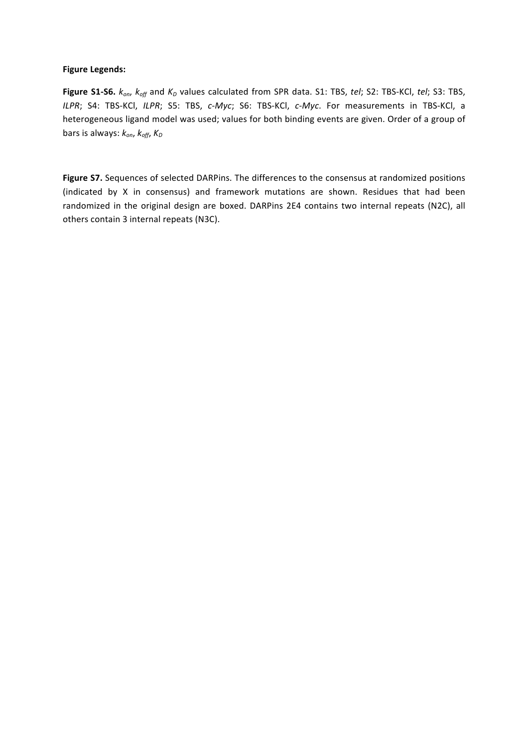## **Figure Legends:**

**Figure S1-S6.**  $k_{on}$ ,  $k_{off}$  and  $K_D$  values calculated from SPR data. S1: TBS, *tel*; S2: TBS-KCl, *tel*; S3: TBS, *ILPR*; S4: TBS-KCl, *ILPR*; S5: TBS, *c-Myc*; S6: TBS-KCl, *c-Myc*. For measurements in TBS-KCl, a heterogeneous ligand model was used; values for both binding events are given. Order of a group of bars is always:  $k_{on}$ ,  $k_{off}$ ,  $K_D$ 

Figure S7. Sequences of selected DARPins. The differences to the consensus at randomized positions (indicated by X in consensus) and framework mutations are shown. Residues that had been randomized in the original design are boxed. DARPins 2E4 contains two internal repeats (N2C), all others contain 3 internal repeats (N3C).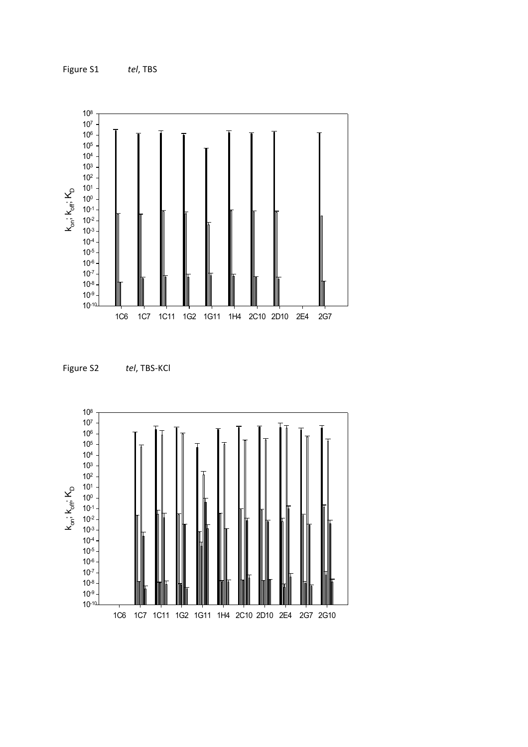





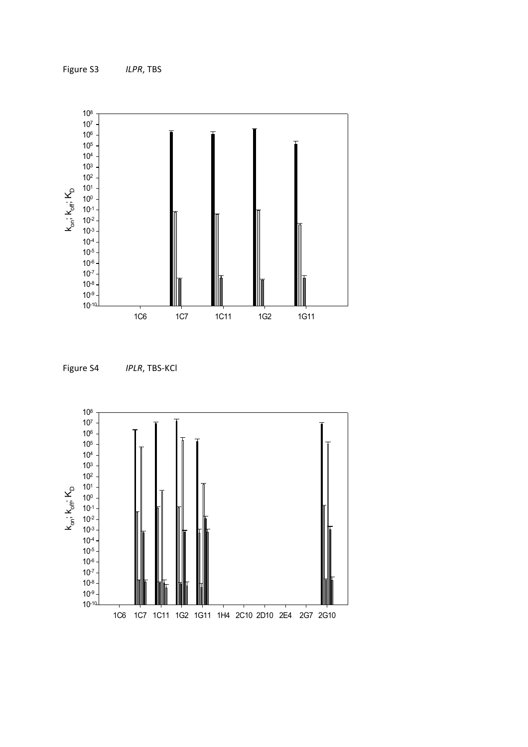



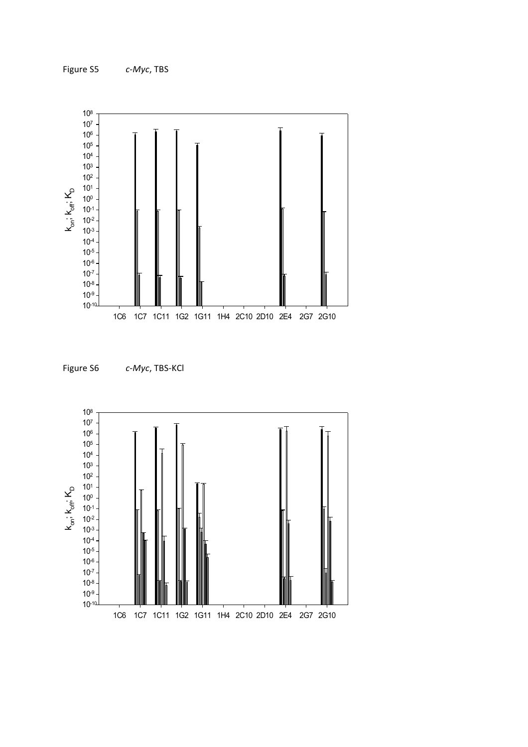